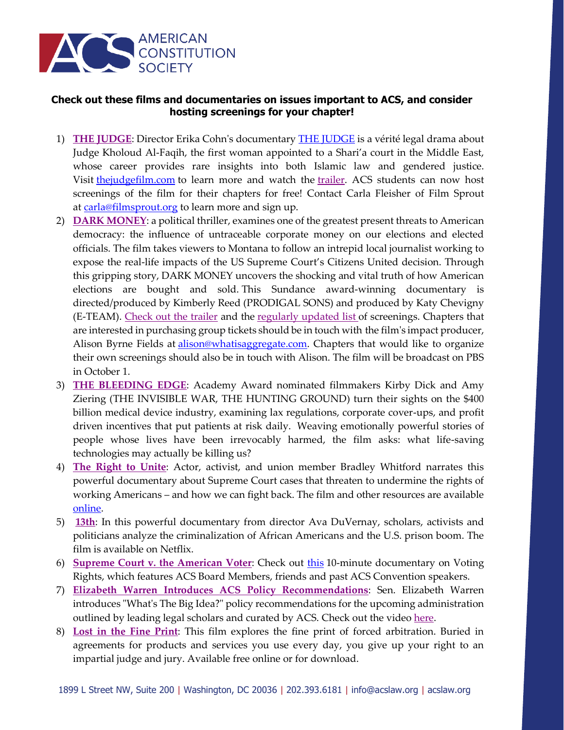

## **Check out these films and documentaries on issues important to ACS, and consider hosting screenings for your chapter!**

- 1) **[THE JUDGE](https://www.thejudgefilm.com/)**: Director Erika Cohn's documentary [THE JUDGE](https://www.thejudgefilm.com/) is a vérité legal drama about Judge Kholoud Al-Faqih, the first woman appointed to a Shari'a court in the Middle East, whose career provides rare insights into both Islamic law and gendered justice. Visit the judgefilm.com to learn more and watch the [trailer.](https://www.thejudgefilm.com/) ACS students can now host screenings of the film for their chapters for free! Contact Carla Fleisher of Film Sprout at [carla@filmsprout.org](mailto:carla@filmsprout.org) to learn more and sign up.
- 2) **[DARK MONEY](https://na01.safelinks.protection.outlook.com/?url=http%3A%2F%2Fdarkmoneyfilm.com%2F&data=02%7C01%7CZOctober%40acslaw.org%7C19c02c32f607478fd3f008d5df5916b4%7C68f0261aecd5440ea931b9416a380d30%7C0%7C0%7C636660496095782584&sdata=5145U4GYvxW08vBTOVXkZgzduKnAzW294v6Ve5y44n8%3D&reserved=0)**: a political thriller, examines one of the greatest present threats to American democracy: the influence of untraceable corporate money on our elections and elected officials. The film takes viewers to Montana to follow an intrepid local journalist working to expose the real-life impacts of the US Supreme Court's Citizens United decision. Through this gripping story, DARK MONEY uncovers the shocking and vital truth of how American elections are bought and sold. This Sundance award-winning documentary is directed/produced by Kimberly Reed (PRODIGAL SONS) and produced by Katy Chevigny (E-TEAM). [Check out the trailer](https://na01.safelinks.protection.outlook.com/?url=https%3A%2F%2Fwww.youtube.com%2Fwatch%3Fv%3DoqhDHLgTJGw%26feature%3Dyoutu.be&data=02%7C01%7CZOctober%40acslaw.org%7C19c02c32f607478fd3f008d5df5916b4%7C68f0261aecd5440ea931b9416a380d30%7C0%7C0%7C636660496095792593&sdata=HJVqR5XNzp0IS9P1UtZD9yYrwXcHoQ0Mj8TvcS9Ir10%3D&reserved=0) and the [regularly updated list](https://na01.safelinks.protection.outlook.com/?url=https%3A%2F%2Fwww.darkmoneyfilm.com%2Fscreenings&data=02%7C01%7CZOctober%40acslaw.org%7C19c02c32f607478fd3f008d5df5916b4%7C68f0261aecd5440ea931b9416a380d30%7C0%7C0%7C636660496095792593&sdata=FS2An2hogGJ%2B1xxyB4%2BECsN8ZGqkG6VAaefRNFWU234%3D&reserved=0) of screenings. Chapters that are interested in purchasing group tickets should be in touch with the film's impact producer, Alison Byrne Fields at *alison@whatisaggregate.com*. Chapters that would like to organize their own screenings should also be in touch with Alison. The film will be broadcast on PBS in October 1.
- 3) **[THE BLEEDING EDGE](http://bleedingedgedoc.com/)**: Academy Award nominated filmmakers Kirby Dick and Amy Ziering (THE INVISIBLE WAR, THE HUNTING GROUND) turn their sights on the \$400 billion medical device industry, examining lax regulations, corporate cover-ups, and profit driven incentives that put patients at risk daily. Weaving emotionally powerful stories of people whose lives have been irrevocably harmed, the film asks: what life-saving technologies may actually be killing us?
- 4) **[The Right to Unite](http://www.afj.org/multimedia/first-monday-films/films/2015-first-monday-film)**: Actor, activist, and union member Bradley Whitford narrates this powerful documentary about Supreme Court cases that threaten to undermine the rights of working Americans – and how we can fight back. The film and other resources are available [online.](http://www.afj.org/multimedia/first-monday-films/films/2015-first-monday-film)
- 5) **[13th](https://www.netflix.com/title/80091741)**: In this powerful documentary from director Ava DuVernay, scholars, activists and politicians analyze the criminalization of African Americans and the U.S. prison boom. The film is available on Netflix.
- 6) **[Supreme Court v. the American Voter](https://www.nytimes.com/video/opinion/100000004677716/supreme-court-v-the-american-voter.html)**: Check out [this](https://www.nytimes.com/video/opinion/100000004677716/supreme-court-v-the-american-voter.html) 10-minute documentary on Voting Rights, which features ACS Board Members, friends and past ACS Convention speakers.
- 7) **[Elizabeth Warren Introduces ACS Policy Recommendations](https://youtu.be/SOtduXMMWY4)**: Sen. Elizabeth Warren introduces "What's The Big Idea?" policy recommendations for the upcoming administration outlined by leading legal scholars and curated by ACS. Check out the video [here.](https://www.youtube.com/watch?v=SOtduXMMWY4&feature=youtu.be)
- 8) **[Lost in the Fine Print](https://www.afj.org/multimedia/first-monday-films/films/lost-in-the-fine-print)**: This film explores the fine print of forced arbitration. Buried in agreements for products and services you use every day, you give up your right to an impartial judge and jury. Available free online or for download.